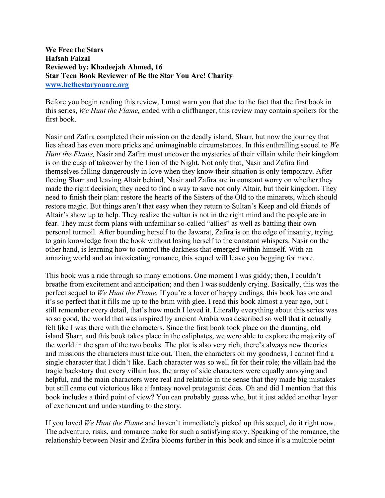**We Free the Stars Hafsah Faizal Reviewed by: Khadeejah Ahmed, 16 Star Teen Book Reviewer of Be the Star You Are! Charity www.bethestaryouare.org**

Before you begin reading this review, I must warn you that due to the fact that the first book in this series, *We Hunt the Flame,* ended with a cliffhanger, this review may contain spoilers for the first book.

Nasir and Zafira completed their mission on the deadly island, Sharr, but now the journey that lies ahead has even more pricks and unimaginable circumstances. In this enthralling sequel to *We Hunt the Flame,* Nasir and Zafira must uncover the mysteries of their villain while their kingdom is on the cusp of takeover by the Lion of the Night. Not only that, Nasir and Zafira find themselves falling dangerously in love when they know their situation is only temporary. After fleeing Sharr and leaving Altair behind, Nasir and Zafira are in constant worry on whether they made the right decision; they need to find a way to save not only Altair, but their kingdom. They need to finish their plan: restore the hearts of the Sisters of the Old to the minarets, which should restore magic. But things aren't that easy when they return to Sultan's Keep and old friends of Altair's show up to help. They realize the sultan is not in the right mind and the people are in fear. They must form plans with unfamiliar so-called "allies" as well as battling their own personal turmoil. After bounding herself to the Jawarat, Zafira is on the edge of insanity, trying to gain knowledge from the book without losing herself to the constant whispers. Nasir on the other hand, is learning how to control the darkness that emerged within himself. With an amazing world and an intoxicating romance, this sequel will leave you begging for more.

This book was a ride through so many emotions. One moment I was giddy; then, I couldn't breathe from excitement and anticipation; and then I was suddenly crying. Basically, this was the perfect sequel to *We Hunt the Flame.* If you're a lover of happy endings, this book has one and it's so perfect that it fills me up to the brim with glee. I read this book almost a year ago, but I still remember every detail, that's how much I loved it. Literally everything about this series was so so good, the world that was inspired by ancient Arabia was described so well that it actually felt like I was there with the characters. Since the first book took place on the daunting, old island Sharr, and this book takes place in the caliphates, we were able to explore the majority of the world in the span of the two books. The plot is also very rich, there's always new theories and missions the characters must take out. Then, the characters oh my goodness, I cannot find a single character that I didn't like. Each character was so well fit for their role; the villain had the tragic backstory that every villain has, the array of side characters were equally annoying and helpful, and the main characters were real and relatable in the sense that they made big mistakes but still came out victorious like a fantasy novel protagonist does. Oh and did I mention that this book includes a third point of view? You can probably guess who, but it just added another layer of excitement and understanding to the story.

If you loved *We Hunt the Flame* and haven't immediately picked up this sequel, do it right now. The adventure, risks, and romance make for such a satisfying story. Speaking of the romance, the relationship between Nasir and Zafira blooms further in this book and since it's a multiple point